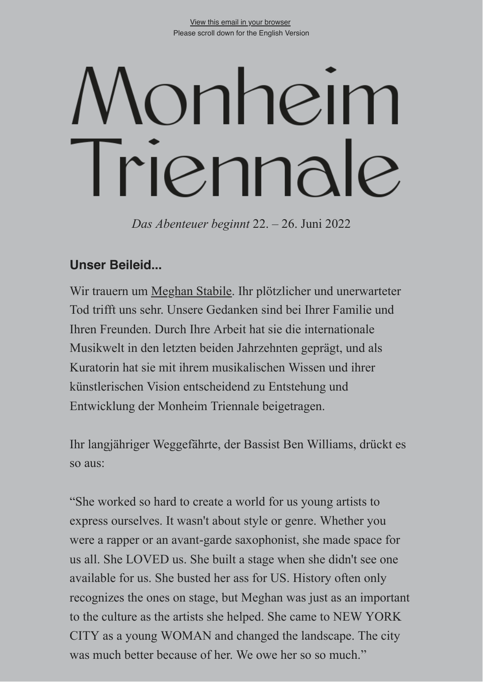# onheim Triennale

*Das Abenteuer beginnt* 22. – 26. Juni 2022

## **Unser Beileid...**

Wir trauern um [Meghan Stabile.](https://www.monheim-triennale.de/de/das-festival/kuratorium/meghan-stabile) Ihr plötzlicher und unerwarteter Tod trifft uns sehr. Unsere Gedanken sind bei Ihrer Familie und Ihren Freunden. Durch Ihre Arbeit hat sie die internationale Musikwelt in den letzten beiden Jahrzehnten geprägt, und als Kuratorin hat sie mit ihrem musikalischen Wissen und ihrer künstlerischen Vision entscheidend zu Entstehung und Entwicklung der Monheim Triennale beigetragen.

Ihr langjähriger Weggefährte, der Bassist Ben Williams, drückt es so aus:

"She worked so hard to create a world for us young artists to express ourselves. It wasn't about style or genre. Whether you were a rapper or an avant-garde saxophonist, she made space for us all. She LOVED us. She built a stage when she didn't see one available for us. She busted her ass for US. History often only recognizes the ones on stage, but Meghan was just as an important to the culture as the artists she helped. She came to NEW YORK CITY as a young WOMAN and changed the landscape. The city was much better because of her. We owe her so so much."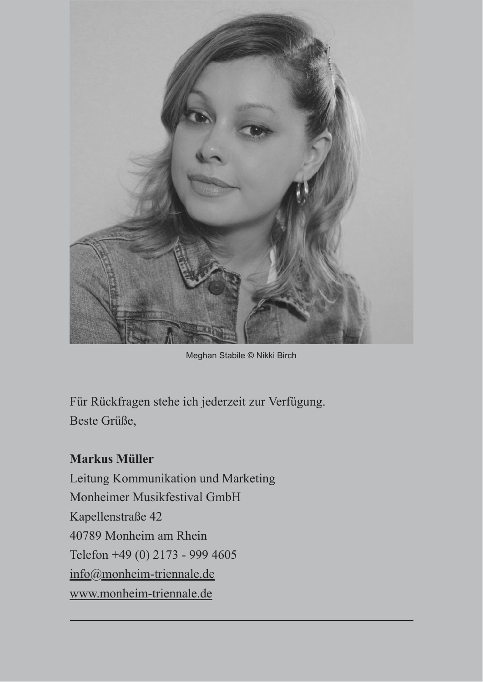

Meghan Stabile © Nikki Birch

Für Rückfragen stehe ich jederzeit zur Verfügung. Beste Grüße,

## **Markus Müller**

Leitung Kommunikation und Marketing Monheimer Musikfestival GmbH Kapellenstraße 42 40789 Monheim am Rhein Telefon +49 (0) 2173 - 999 4605 [info@monheim-triennale.de](mailto:%3Cmailto:info@monheim-triennale.de%3E) [www.monheim-triennale.de](http://www.monheim-triennale.de/)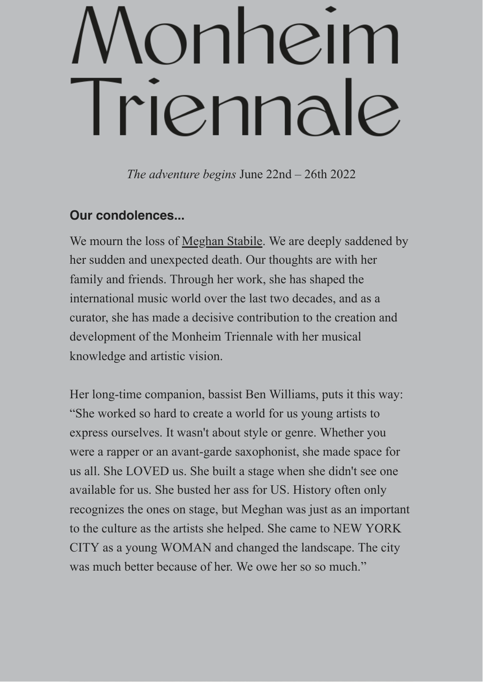## onhein Triennale

*The adventure begins* June 22nd – 26th 2022

## **Our condolences...**

We mourn the loss of [Meghan Stabile](https://www.monheim-triennale.de/en/das-festival/kuratorium/meghan-stabile). We are deeply saddened by her sudden and unexpected death. Our thoughts are with her family and friends. Through her work, she has shaped the international music world over the last two decades, and as a curator, she has made a decisive contribution to the creation and development of the Monheim Triennale with her musical knowledge and artistic vision.

Her long-time companion, bassist Ben Williams, puts it this way: "She worked so hard to create a world for us young artists to express ourselves. It wasn't about style or genre. Whether you were a rapper or an avant-garde saxophonist, she made space for us all. She LOVED us. She built a stage when she didn't see one available for us. She busted her ass for US. History often only recognizes the ones on stage, but Meghan was just as an important to the culture as the artists she helped. She came to NEW YORK CITY as a young WOMAN and changed the landscape. The city was much better because of her. We owe her so so much."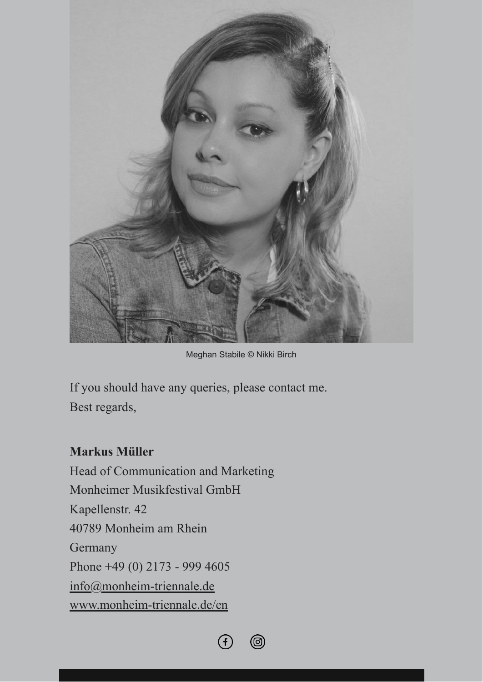

Meghan Stabile © Nikki Birch

If you should have any queries, please contact me. Best regards,

## **Markus Müller**

Head of Communication and Marketing Monheimer Musikfestival GmbH Kapellenstr. 42 40789 Monheim am Rhein **Germany** Phone +49 (0) 2173 - 999 4605 [info@monheim-triennale.de](mailto:%3Cmailto:info@monheim-triennale.de%3E) [www.monheim-triennale.de/en](http://www.monheim-triennale.de/en)